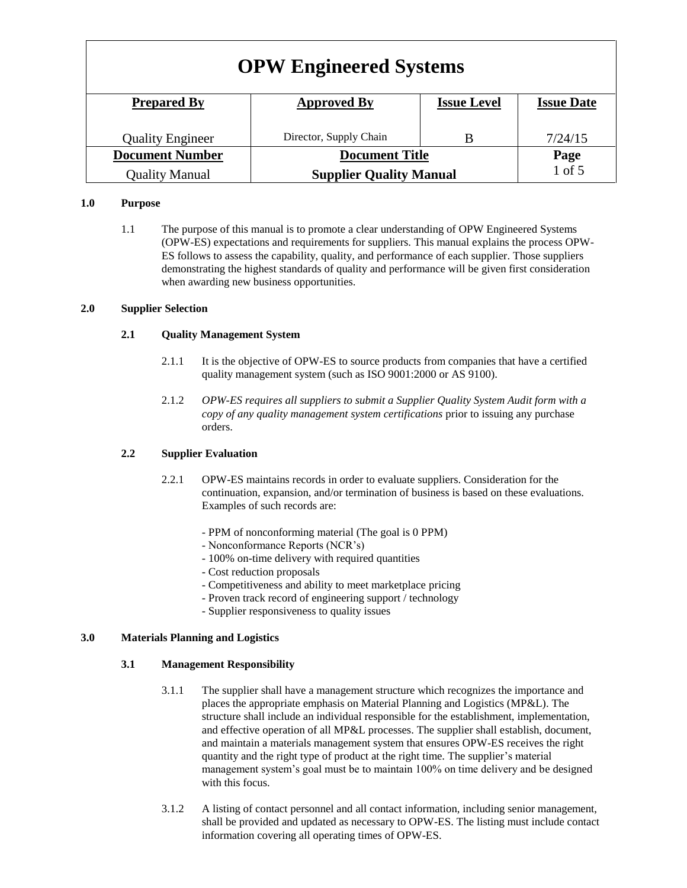| <b>OPW Engineered Systems</b> |                                |                    |                   |
|-------------------------------|--------------------------------|--------------------|-------------------|
| <b>Prepared By</b>            | <b>Approved By</b>             | <b>Issue Level</b> | <b>Issue Date</b> |
| <b>Quality Engineer</b>       | Director, Supply Chain         | В                  | 7/24/15           |
| <b>Document Number</b>        | <b>Document Title</b>          |                    | Page              |
| <b>Quality Manual</b>         | <b>Supplier Quality Manual</b> |                    | 1 of 5            |

## **1.0 Purpose**

1.1 The purpose of this manual is to promote a clear understanding of OPW Engineered Systems (OPW-ES) expectations and requirements for suppliers. This manual explains the process OPW-ES follows to assess the capability, quality, and performance of each supplier. Those suppliers demonstrating the highest standards of quality and performance will be given first consideration when awarding new business opportunities.

### **2.0 Supplier Selection**

### **2.1 Quality Management System**

- 2.1.1 It is the objective of OPW-ES to source products from companies that have a certified quality management system (such as ISO 9001:2000 or AS 9100).
- 2.1.2 *OPW-ES requires all suppliers to submit a Supplier Quality System Audit form with a copy of any quality management system certifications* prior to issuing any purchase orders.

## **2.2 Supplier Evaluation**

- 2.2.1 OPW-ES maintains records in order to evaluate suppliers. Consideration for the continuation, expansion, and/or termination of business is based on these evaluations. Examples of such records are:
	- PPM of nonconforming material (The goal is 0 PPM)
	- Nonconformance Reports (NCR's)
	- 100% on-time delivery with required quantities
	- Cost reduction proposals
	- Competitiveness and ability to meet marketplace pricing
	- Proven track record of engineering support / technology
	- Supplier responsiveness to quality issues

### **3.0 Materials Planning and Logistics**

### **3.1 Management Responsibility**

- 3.1.1 The supplier shall have a management structure which recognizes the importance and places the appropriate emphasis on Material Planning and Logistics (MP&L). The structure shall include an individual responsible for the establishment, implementation, and effective operation of all MP&L processes. The supplier shall establish, document, and maintain a materials management system that ensures OPW-ES receives the right quantity and the right type of product at the right time. The supplier's material management system's goal must be to maintain 100% on time delivery and be designed with this focus.
- 3.1.2 A listing of contact personnel and all contact information, including senior management, shall be provided and updated as necessary to OPW-ES. The listing must include contact information covering all operating times of OPW-ES.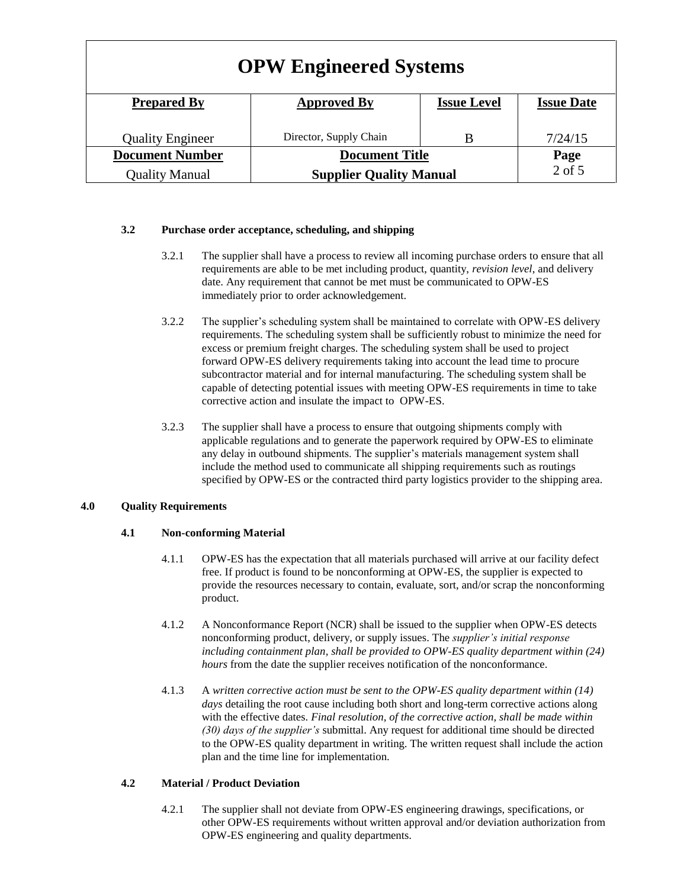| <b>OPW Engineered Systems</b> |                                |                    |                   |
|-------------------------------|--------------------------------|--------------------|-------------------|
| <b>Prepared By</b>            | <b>Approved By</b>             | <b>Issue Level</b> | <b>Issue Date</b> |
| <b>Quality Engineer</b>       | Director, Supply Chain         | В                  | 7/24/15           |
| <b>Document Number</b>        | <b>Document Title</b>          |                    | Page              |
| <b>Quality Manual</b>         | <b>Supplier Quality Manual</b> |                    | $2$ of $5$        |

## **3.2 Purchase order acceptance, scheduling, and shipping**

- 3.2.1 The supplier shall have a process to review all incoming purchase orders to ensure that all requirements are able to be met including product, quantity, *revision level*, and delivery date. Any requirement that cannot be met must be communicated to OPW-ES immediately prior to order acknowledgement.
- 3.2.2 The supplier's scheduling system shall be maintained to correlate with OPW-ES delivery requirements. The scheduling system shall be sufficiently robust to minimize the need for excess or premium freight charges. The scheduling system shall be used to project forward OPW-ES delivery requirements taking into account the lead time to procure subcontractor material and for internal manufacturing. The scheduling system shall be capable of detecting potential issues with meeting OPW-ES requirements in time to take corrective action and insulate the impact to OPW-ES.
- 3.2.3 The supplier shall have a process to ensure that outgoing shipments comply with applicable regulations and to generate the paperwork required by OPW-ES to eliminate any delay in outbound shipments. The supplier's materials management system shall include the method used to communicate all shipping requirements such as routings specified by OPW-ES or the contracted third party logistics provider to the shipping area.

## **4.0 Quality Requirements**

## **4.1 Non-conforming Material**

- 4.1.1 OPW-ES has the expectation that all materials purchased will arrive at our facility defect free. If product is found to be nonconforming at OPW-ES, the supplier is expected to provide the resources necessary to contain, evaluate, sort, and/or scrap the nonconforming product.
- 4.1.2 A Nonconformance Report (NCR) shall be issued to the supplier when OPW-ES detects nonconforming product, delivery, or supply issues. The *supplier's initial response including containment plan, shall be provided to OPW-ES quality department within (24) hours* from the date the supplier receives notification of the nonconformance.
- 4.1.3 A *written corrective action must be sent to the OPW-ES quality department within (14)*  days detailing the root cause including both short and long-term corrective actions along with the effective dates. *Final resolution, of the corrective action, shall be made within (30) days of the supplier's* submittal. Any request for additional time should be directed to the OPW-ES quality department in writing. The written request shall include the action plan and the time line for implementation.

## **4.2 Material / Product Deviation**

4.2.1 The supplier shall not deviate from OPW-ES engineering drawings, specifications, or other OPW-ES requirements without written approval and/or deviation authorization from OPW-ES engineering and quality departments.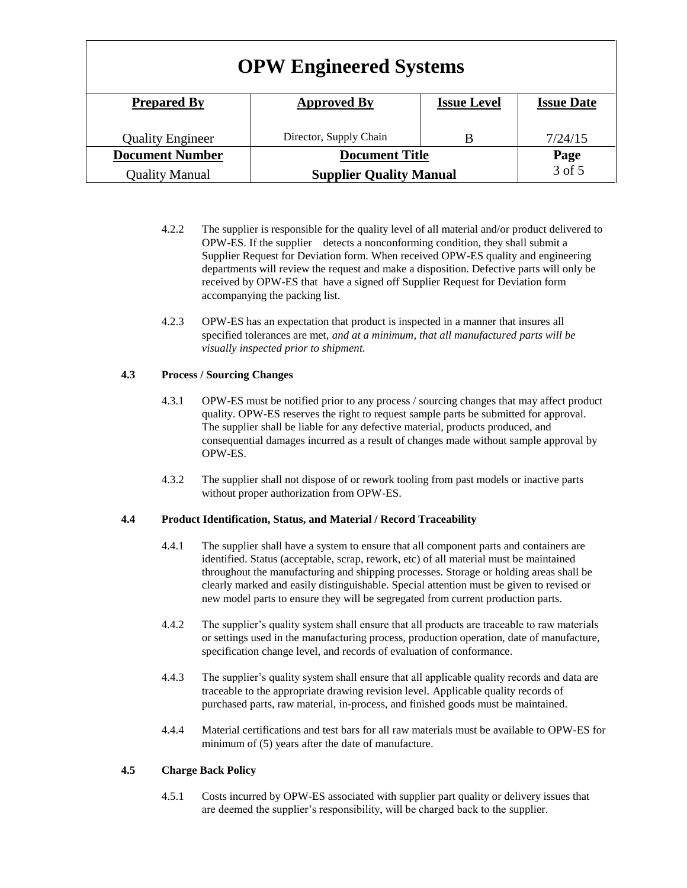| <b>OPW Engineered Systems</b> |                                |                    |                   |
|-------------------------------|--------------------------------|--------------------|-------------------|
| <b>Prepared By</b>            | <b>Approved By</b>             | <b>Issue Level</b> | <b>Issue Date</b> |
| <b>Quality Engineer</b>       | Director, Supply Chain         | B                  | 7/24/15           |
| <b>Document Number</b>        | <b>Document Title</b>          |                    | Page              |
| <b>Quality Manual</b>         | <b>Supplier Quality Manual</b> |                    | 3 of 5            |

- 4.2.2 The supplier is responsible for the quality level of all material and/or product delivered to OPW-ES. If the supplier detects a nonconforming condition, they shall submit a Supplier Request for Deviation form. When received OPW-ES quality and engineering departments will review the request and make a disposition. Defective parts will only be received by OPW-ES that have a signed off Supplier Request for Deviation form accompanying the packing list.
- 4.2.3 OPW-ES has an expectation that product is inspected in a manner that insures all specified tolerances are met, *and at a minimum, that all manufactured parts will be visually inspected prior to shipment.*

## **4.3 Process / Sourcing Changes**

- 4.3.1 OPW-ES must be notified prior to any process / sourcing changes that may affect product quality. OPW-ES reserves the right to request sample parts be submitted for approval. The supplier shall be liable for any defective material, products produced, and consequential damages incurred as a result of changes made without sample approval by OPW-ES.
- 4.3.2 The supplier shall not dispose of or rework tooling from past models or inactive parts without proper authorization from OPW-ES.

## **4.4 Product Identification, Status, and Material / Record Traceability**

- 4.4.1 The supplier shall have a system to ensure that all component parts and containers are identified. Status (acceptable, scrap, rework, etc) of all material must be maintained throughout the manufacturing and shipping processes. Storage or holding areas shall be clearly marked and easily distinguishable. Special attention must be given to revised or new model parts to ensure they will be segregated from current production parts.
- 4.4.2 The supplier's quality system shall ensure that all products are traceable to raw materials or settings used in the manufacturing process, production operation, date of manufacture, specification change level, and records of evaluation of conformance.
- 4.4.3 The supplier's quality system shall ensure that all applicable quality records and data are traceable to the appropriate drawing revision level. Applicable quality records of purchased parts, raw material, in-process, and finished goods must be maintained.
- 4.4.4 Material certifications and test bars for all raw materials must be available to OPW-ES for minimum of  $(5)$  years after the date of manufacture.

# **4.5 Charge Back Policy**

4.5.1 Costs incurred by OPW-ES associated with supplier part quality or delivery issues that are deemed the supplier's responsibility, will be charged back to the supplier.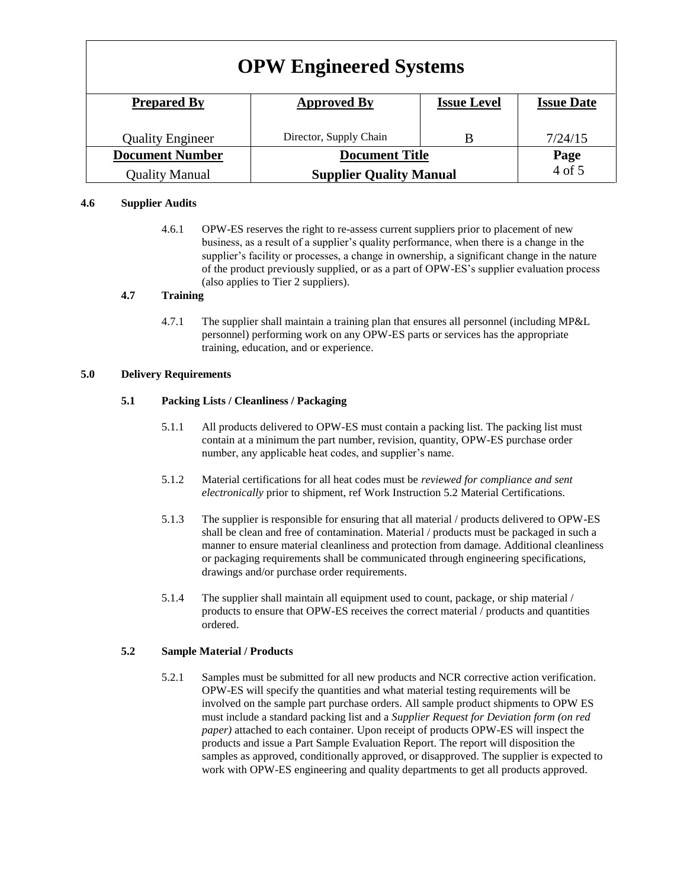| <b>OPW Engineered Systems</b> |                                |                    |                   |
|-------------------------------|--------------------------------|--------------------|-------------------|
| <b>Prepared By</b>            | <b>Approved By</b>             | <b>Issue Level</b> | <b>Issue Date</b> |
| <b>Quality Engineer</b>       | Director, Supply Chain         | B                  | 7/24/15           |
| <b>Document Number</b>        | <b>Document Title</b>          |                    | Page              |
| <b>Quality Manual</b>         | <b>Supplier Quality Manual</b> |                    | 4 of 5            |

## **4.6 Supplier Audits**

4.6.1 OPW-ES reserves the right to re-assess current suppliers prior to placement of new business, as a result of a supplier's quality performance, when there is a change in the supplier's facility or processes, a change in ownership, a significant change in the nature of the product previously supplied, or as a part of OPW-ES's supplier evaluation process (also applies to Tier 2 suppliers).

## **4.7 Training**

4.7.1 The supplier shall maintain a training plan that ensures all personnel (including MP&L personnel) performing work on any OPW-ES parts or services has the appropriate training, education, and or experience.

### **5.0 Delivery Requirements**

## **5.1 Packing Lists / Cleanliness / Packaging**

- 5.1.1 All products delivered to OPW-ES must contain a packing list. The packing list must contain at a minimum the part number, revision, quantity, OPW-ES purchase order number, any applicable heat codes, and supplier's name.
- 5.1.2 Material certifications for all heat codes must be *reviewed for compliance and sent electronically* prior to shipment, ref Work Instruction 5.2 Material Certifications.
- 5.1.3 The supplier is responsible for ensuring that all material / products delivered to OPW-ES shall be clean and free of contamination. Material / products must be packaged in such a manner to ensure material cleanliness and protection from damage. Additional cleanliness or packaging requirements shall be communicated through engineering specifications, drawings and/or purchase order requirements.
- 5.1.4 The supplier shall maintain all equipment used to count, package, or ship material / products to ensure that OPW-ES receives the correct material / products and quantities ordered.

### **5.2 Sample Material / Products**

5.2.1 Samples must be submitted for all new products and NCR corrective action verification. OPW-ES will specify the quantities and what material testing requirements will be involved on the sample part purchase orders. All sample product shipments to OPW ES must include a standard packing list and a *Supplier Request for Deviation form (on red paper)* attached to each container. Upon receipt of products OPW-ES will inspect the products and issue a Part Sample Evaluation Report. The report will disposition the samples as approved, conditionally approved, or disapproved. The supplier is expected to work with OPW-ES engineering and quality departments to get all products approved.